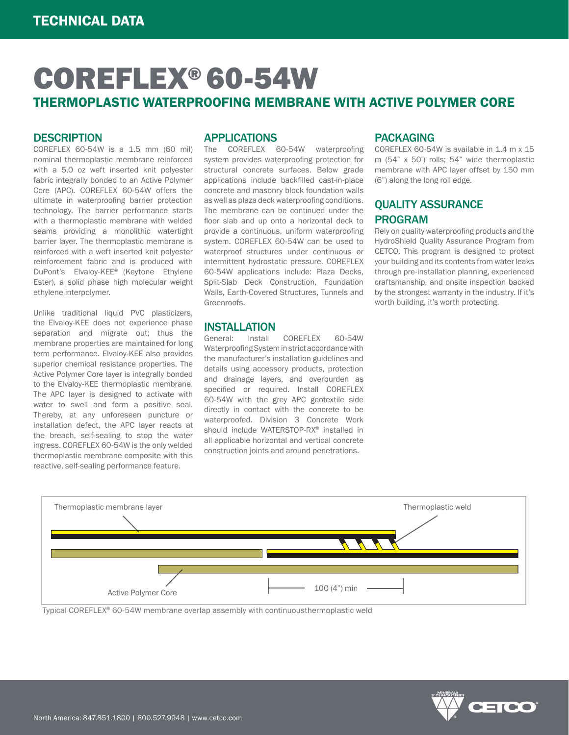# COREFLEX® 60-54W THERMOPLASTIC WATERPROOFING MEMBRANE WITH ACTIVE POLYMER CORE

### **DESCRIPTION**

COREFLEX 60-54W is a 1.5 mm (60 mil) nominal thermoplastic membrane reinforced with a 5.0 oz weft inserted knit polyester fabric integrally bonded to an Active Polymer Core (APC). COREFLEX 60-54W offers the ultimate in waterproofing barrier protection technology. The barrier performance starts with a thermoplastic membrane with welded seams providing a monolithic watertight barrier layer. The thermoplastic membrane is reinforced with a weft inserted knit polyester reinforcement fabric and is produced with DuPont's Elvaloy-KEE® (Keytone Ethylene Ester), a solid phase high molecular weight ethylene interpolymer.

Unlike traditional liquid PVC plasticizers, the Elvaloy-KEE does not experience phase separation and migrate out; thus the membrane properties are maintained for long term performance. Elvaloy-KEE also provides superior chemical resistance properties. The Active Polymer Core layer is integrally bonded to the Elvaloy-KEE thermoplastic membrane. The APC layer is designed to activate with water to swell and form a positive seal. Thereby, at any unforeseen puncture or installation defect, the APC layer reacts at the breach, self-sealing to stop the water ingress. COREFLEX 60-54W is the only welded thermoplastic membrane composite with this reactive, self-sealing performance feature.

### APPLICATIONS

The COREFLEX 60-54W waterproofing system provides waterproofing protection for structural concrete surfaces. Below grade applications include backfilled cast-in-place concrete and masonry block foundation walls as well as plaza deck waterproofing conditions. The membrane can be continued under the floor slab and up onto a horizontal deck to provide a continuous, uniform waterproofing system. COREFLEX 60-54W can be used to waterproof structures under continuous or intermittent hydrostatic pressure. COREFLEX 60-54W applications include: Plaza Decks, Split-Slab Deck Construction, Foundation Walls, Earth-Covered Structures, Tunnels and Greenroofs

# **INSTALLATION**<br>General: Install

COREFLEX 60-54W Waterproofing System in strict accordance with the manufacturer's installation guidelines and details using accessory products, protection and drainage layers, and overburden as specified or required. Install COREFLEX 60-54W with the grey APC geotextile side directly in contact with the concrete to be waterproofed. Division 3 Concrete Work should include WATERSTOP-RX® installed in all applicable horizontal and vertical concrete construction joints and around penetrations.

### PACKAGING

COREFLEX 60-54W is available in 1.4 m x 15 m (54" x 50') rolls; 54" wide thermoplastic membrane with APC layer offset by 150 mm (6") along the long roll edge.

### QUALITY ASSURANCE PROGRAM

Rely on quality waterproofing products and the HydroShield Quality Assurance Program from CETCO. This program is designed to protect your building and its contents from water leaks through pre-installation planning, experienced craftsmanship, and onsite inspection backed by the strongest warranty in the industry. If it's worth building, it's worth protecting.



Typical COREFLEX® 60-54W membrane overlap assembly with continuousthermoplastic weld

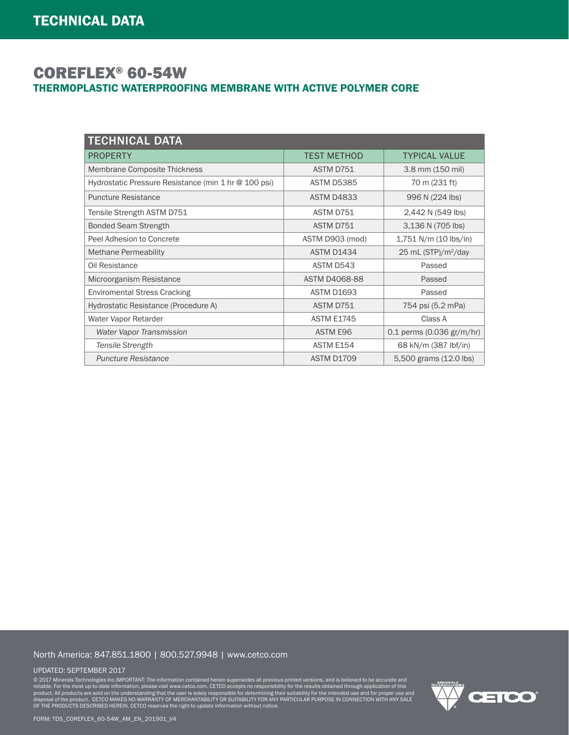## COREFLEX® 60-54W THERMOPLASTIC WATERPROOFING MEMBRANE WITH ACTIVE POLYMER CORE

| <b>TECHNICAL DATA</b>                                |                      |                                     |
|------------------------------------------------------|----------------------|-------------------------------------|
| <b>PROPERTY</b>                                      | TEST METHOD          | <b>TYPICAL VALUE</b>                |
| Membrane Composite Thickness                         | ASTM D751            | 3.8 mm (150 mil)                    |
| Hydrostatic Pressure Resistance (min 1 hr @ 100 psi) | <b>ASTM D5385</b>    | 70 m (231 ft)                       |
| <b>Puncture Resistance</b>                           | <b>ASTM D4833</b>    | 996 N (224 lbs)                     |
| Tensile Strength ASTM D751                           | ASTM D751            | 2,442 N (549 lbs)                   |
| <b>Bonded Seam Strength</b>                          | ASTM D751            | 3,136 N (705 lbs)                   |
| Peel Adhesion to Concrete                            | ASTM D903 (mod)      | 1,751 N/m (10 lbs/in)               |
| <b>Methane Permeability</b>                          | <b>ASTM D1434</b>    | 25 mL (STP)/ $m^2$ /day             |
| Oil Resistance                                       | ASTM D543            | Passed                              |
| Microorganism Resistance                             | <b>ASTM D4068-88</b> | Passed                              |
| <b>Enviromental Stress Cracking</b>                  | <b>ASTM D1693</b>    | Passed                              |
| Hydrostatic Resistance (Procedure A)                 | ASTM D751            | 754 psi (5.2 mPa)                   |
| Water Vapor Retarder                                 | <b>ASTM E1745</b>    | Class A                             |
| <b>Water Vapor Transmission</b>                      | ASTM E96             | 0.1 perms $(0.036 \text{ gr/m/hr})$ |
| Tensile Strength                                     | ASTM E154            | 68 kN/m (387 lbf/in)                |
| <b>Puncture Resistance</b>                           | <b>ASTM D1709</b>    | 5,500 grams (12.0 lbs)              |

### North America: 847.851.1800 | 800.527.9948 | www.cetco.com

#### UPDATED: SEPTEMBER 2017

© 2017 Minerals Technologies Inc.IMPORTANT: The information contained herein supersedes all previous printed versions, and is believed to be accurate and<br>product. All products are sold on the understanding that the user is

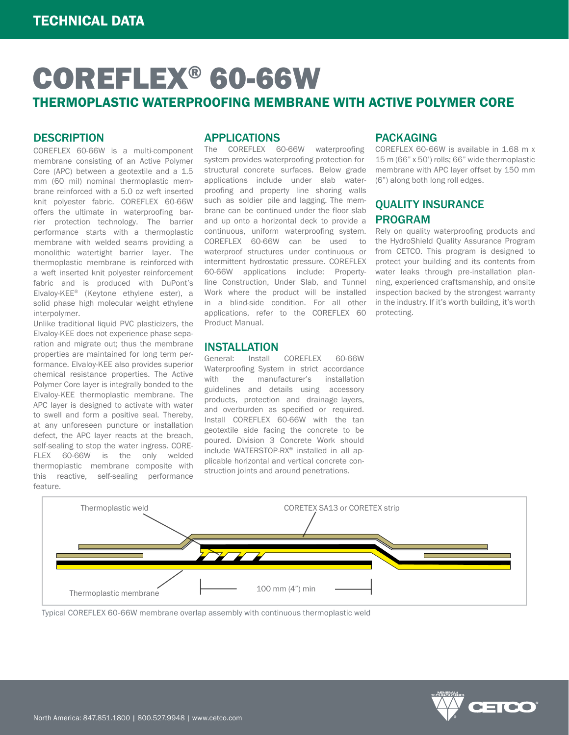# COREFLEX® 60-66W THERMOPLASTIC WATERPROOFING MEMBRANE WITH ACTIVE POLYMER CORE

### **DESCRIPTION**

COREFLEX 60-66W is a multi-component membrane consisting of an Active Polymer Core (APC) between a geotextile and a 1.5 mm (60 mil) nominal thermoplastic membrane reinforced with a 5.0 oz weft inserted knit polyester fabric. COREFLEX 60-66W offers the ultimate in waterproofing barrier protection technology. The barrier performance starts with a thermoplastic membrane with welded seams providing a monolithic watertight barrier layer. The thermoplastic membrane is reinforced with a weft inserted knit polyester reinforcement fabric and is produced with DuPont's Elvaloy-KEE® (Keytone ethylene ester), a solid phase high molecular weight ethylene interpolymer.

Unlike traditional liquid PVC plasticizers, the Elvaloy-KEE does not experience phase separation and migrate out; thus the membrane properties are maintained for long term performance. Elvaloy-KEE also provides superior chemical resistance properties. The Active Polymer Core layer is integrally bonded to the Elvaloy-KEE thermoplastic membrane. The APC layer is designed to activate with water to swell and form a positive seal. Thereby, at any unforeseen puncture or installation defect, the APC layer reacts at the breach, self-sealing to stop the water ingress. CORE-FLEX 60-66W is the only welded thermoplastic membrane composite with this reactive, self-sealing performance feature.

### APPLICATIONS

The COREFLEX 60-66W waterproofing system provides waterproofing protection for structural concrete surfaces. Below grade applications include under slab waterproofing and property line shoring walls such as soldier pile and lagging. The membrane can be continued under the floor slab and up onto a horizontal deck to provide a continuous, uniform waterproofing system. COREFLEX 60-66W can be used to waterproof structures under continuous or intermittent hydrostatic pressure. COREFLEX 60-66W applications include: Propertyline Construction, Under Slab, and Tunnel Work where the product will be installed in a blind-side condition. For all other applications, refer to the COREFLEX 60 Product Manual.

# **INSTALLATION**<br>General: Install

Install COREFLEX 60-66W Waterproofing System in strict accordance with the manufacturer's installation guidelines and details using accessory products, protection and drainage layers, and overburden as specified or required. Install COREFLEX 60-66W with the tan geotextile side facing the concrete to be poured. Division 3 Concrete Work should include WATERSTOP-RX® installed in all applicable horizontal and vertical concrete construction joints and around penetrations.

### PACKAGING

COREFLEX 60-66W is available in 1.68 m x 15 m (66" x 50') rolls; 66" wide thermoplastic membrane with APC layer offset by 150 mm (6") along both long roll edges.

### QUALITY INSURANCE PROGRAM

Rely on quality waterproofing products and the HydroShield Quality Assurance Program from CETCO. This program is designed to protect your building and its contents from water leaks through pre-installation planning, experienced craftsmanship, and onsite inspection backed by the strongest warranty in the industry. If it's worth building, it's worth protecting.



Typical COREFLEX 60-66W membrane overlap assembly with continuous thermoplastic weld